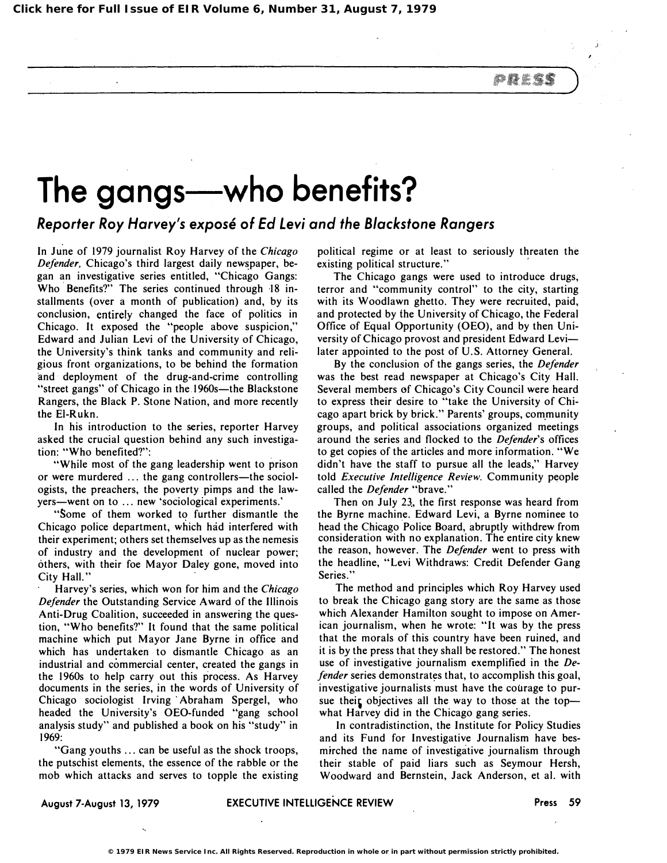*PRES* 

## The gangs-who benefits?

## Reporter Roy Harvey's expose of Ed Levi and the Blackstone Rangers

In June of 1979 journalist Roy Harvey of the Chicago Defender, Chicago's third largest daily newspaper, began an investigative series entitled, "Chicago Gangs: Who Benefits?" The series continued through 18 installments (over a month of publication) and, by its conclusion, entirely changed the face of politics in Chicago. It exposed the "people above suspicion," Edward and Julian Levi of the University of Chicago, the University's think tanks and community and religious front organizations, to be behind the formation and' deployment of the drug-and-crime controlling "street gangs" of Chicago in the 1960s-the Blackstone Rangers, the Black P. Stone Nation, and more recently the EI-Rukn.

In his introduction to the series, reporter Harvey asked the crucial question behind any such investigation: "Who benefited?":

"While most of the gang leadership went to prison or were murdered ... the gang controllers—the sociologists, the preachers, the poverty pimps and the lawyers-went on to ... new 'sociological experiments.'

"Some of them worked to further dismantle the Chicago police department, which had interfered with their experiment; others set themselves up as the nemesis of industry and the development of nuclear power; others, with their foe Mayor Daley gone, moved into City Hall."

Harvey's series, which won for him and the Chicago Defender the Outstanding Service Award of the Illinois Anti-Drug Coalition, succeeded in answering the question, "Who benefits?" It found that the same political machine which put Mayor Jane Byrne in office and which has undertaken to dismantle Chicago as an industrial and commercial center, created the gangs in the 1960s to help carry out this process. As Harvey documents in the series, in the words of University of Chicago sociologist Irving Abraham Spergel, who headed the University's OEO-funded "gang school analysis study" and published a book on his "study" in 1969:

"Gang youths ... can be useful as the shock troops, the putschist elements, the essence of the rabble or the mob which attacks and serves to topple the existing

political regime or at least to seriously threaten the existing political structure."

The Chicago gangs were used to introduce drugs, terror and "community control" to the city, starting with its Woodlawn ghetto. They were recruited, paid, and protected by the University of Chicago, the Federal Office of Equal Opportunity (OEO), and by then University of Chicago provost and president Edward Levilater appointed to the post of U.S. Attorney General.

By the conclusion of the gangs series, the Defender was the best read newspaper at Chicago's City Hall. Several members of Chicago's City Council were heard to express their desire to "take the University of Chicago apart brick by brick." Parents' groups, community groups, and political associations organized meetings around the series and flocked to the Defender's offices to get copies of the articles and more information. "We didn't have the staff to pursue all the leads," Harvey told Executive Intelligence Review. Community people called the Defender "brave."

Then on July 23, the first response was heard from the Byrne machine. Edward Levi, a Byrne nominee to head the Chicago ' Police Board, abruptly withdrew from consideration with no explanation. The entire city knew the reason, however. The Defender went to press with the headline, "Levi Withdraws: Credit Defender Gang Series."

The method and principles which Roy Harvey used to break the Chicago gang story are the same as those which Alexander Hamilton sought to impose on American journalism, when he wrote: "It was by the press that the morals of this country have been ruined, and it is by the press that they shall be restored." The honest use of investigative journalism exemplified in the Defender series demonstrates that, to accomplish this goal, investigative journalists must have the courage to pursue their objectives all the way to those at the topwhat Harvey did in the Chicago gang series.

In contradistinction, the Institute for Policy Studies and its Fund for Investigative Journalism have besmirched the name of investigative journalism through their stable of paid liars such as Seymour Hersh, Woodward and Bernstein, Jack Anderson, et al. with

August 7-August 13, 1979 **EXECUTIVE INTELLIGENCE REVIEW** Press 59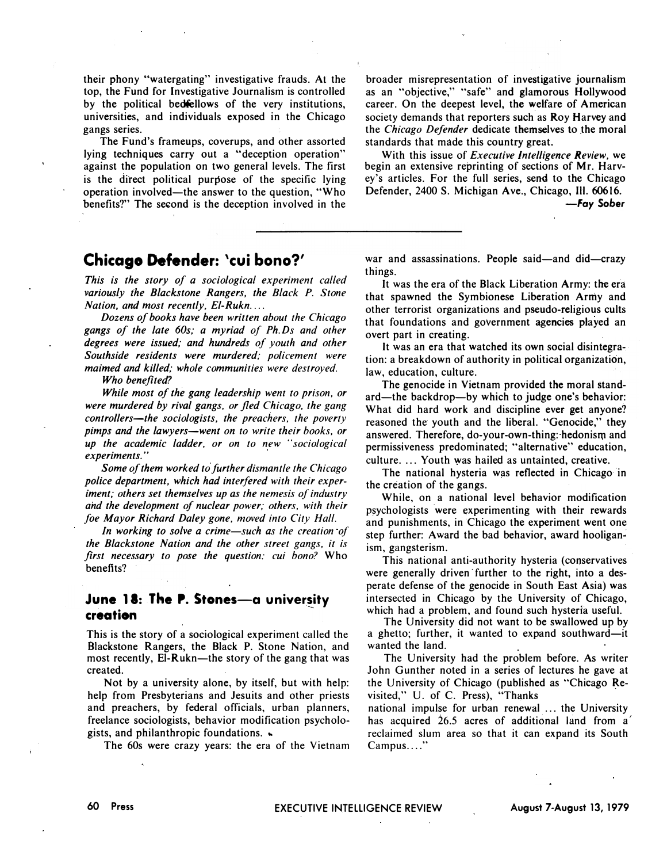their phony "watergating" investigative frauds. At the top, the Fund for Investigative Journalism is controlled by the political bedfellows of the very institutions, universities, and individuals exposed in the Chicago gangs series.

The Fund's frameups, coverups, and other assorted lying techniques carry out a "deception operation" against the population on two general levels. The first is the direct political purpose of the specific lying operation involved-the answer to the question, "Who benefits?" The second is the deception involved in the

broader misrepresentation of investigative journalism as an "objective," "safe" and glamorous Hollywood career. On the deepest level, the welfare of American society demands that reporters such as Roy Harvey and the Chicago Defender dedicate themselves to the moral standards that made this country great.

With this issue of Executive Intelligence Review, we begin an extensive reprinting of sections of Mr. Harvey's articles. For the full series, send to the Chicago Defender, 2400 S. Michigan Ave., Chicago, HI. 60616. -Fay Sober

## Chicago Defender: 'cui bono?'

This is the story of a sociological experiment called variously the Blackstone Rangers. the Black P. Stone Nation, and most recently,  $El-Rukn$ ...

Dozens of books have been written about the Chicago gangs of the late 60s; a myriad of Ph. Ds and other degrees were issued; and hundreds of youth and other Southside residents were murdered; policement were maimed and killed; whole communities were destroyed.

Who benefited?

While most of the gang leadership went to prison. or were murdered by rival gangs, or fled Chicago, the gang controllers-the sociologists, the preachers, the poverty pimps and the lawyers—went on to write their books, or up the academic ladder. or on to new "sociological experiments . ..

Some of them worked to further dismantle the Chicago police department. which had interfered with their experiment; others set themselves up as the nemesis of industry and the development of nuclear power; others. with their foe Mayor Richard Daley gone. moved into City Hall.

In working to solve a crime-such as the creation of the Blackstone Nation and the other street gangs. it is first necessary to pose the question: cui bono? Who benefits?

## June 18: The P. Stones-a university creation

This is the story of a sociological experiment called the Blackstone Rangers, the Black P. Stone Nation, and most recently, El-Rukn-the story of the gang that was created.

Not by a university alone, by itself, but with help: help from Presbyterians and Jesuits and other priests and preachers, by federal officials, urban planners, freelance sociologists, behavior modification psychologists, and philanthropic foundations.  $\bullet$ 

The 60s were crazy years: the era of the Vietnam

war and assassinations. People said—and did—crazy things.

It was the era of the Black Liberation Army: the era that spawned the Symbionese Liberation Army and other terrorist organizations and pseudo-religious cults that foundations and government agencies played an overt part in creating.

It was an era that watched its own social disintegration: a breakdown of authority in political organization, law, education, culture.

The genocide in Vietnam provided the moral standard-the backdrop-by which to judge one's behavior: What did hard work and discipline ever get anyone? reasoned the youth and the liberal. "Genocide," they answered. Therefore, do-your-own-thing: hedonism and permissiveness predominated; "alternative" education, culture. ... Youth was hailed as untainted, creative.

The national hysteria was reflected in Chicago in the creation of the gangs.

While, on a national level behavior modification psychologists were experimenting with their rewards and punishments, in Chicago the experiment went one step further: Award the bad behavior, award hooliganism, gangsterism.

This national anti-authority hysteria (conservatives were generally driven' further to the right, into a desperate defense of the genocide in South East Asia) was intersected in Chicago by the University of Chicago, which had a problem, and found such hysteria useful.

The University did not want to be swallowed up by a ghetto; further, it wanted to expand southward-it wanted the land.

The University had the problem before. As writer John Gunther noted in a series of lectures he gave at the University of Chicago (published as "Chicago Revisited," U. of C. Press), "Thanks

national impulse for urban renewal ... the University has acquired 26.5 acres of additional land from  $a'$ reclaimed slum area so that it can expand its South Campus...."